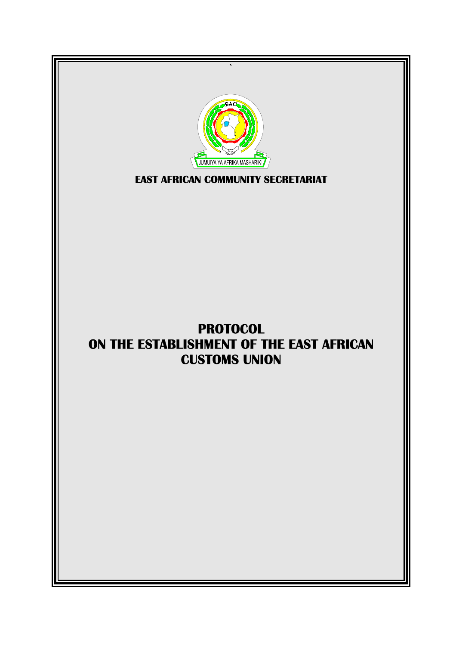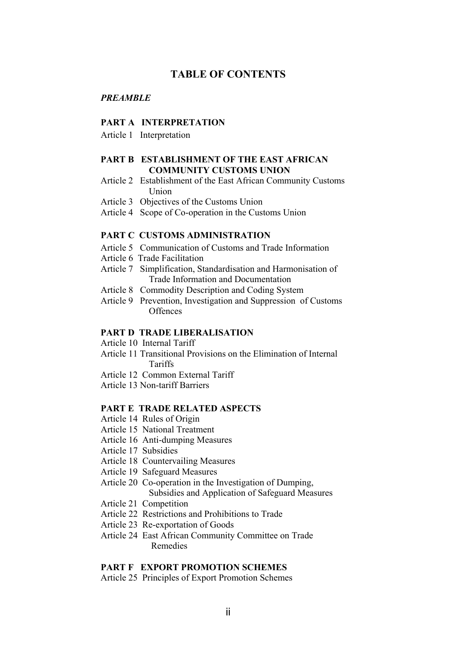#### **TABLE OF CONTENTS**

#### *PREAMBLE*

#### **PART A INTERPRETATION**

Article 1 Interpretation

#### **PART B ESTABLISHMENT OF THE EAST AFRICAN COMMUNITY CUSTOMS UNION**

- Article 2 Establishment of the East African Community Customs Union
- Article 3 Objectives of the Customs Union
- Article 4 Scope of Co-operation in the Customs Union

#### **PART C CUSTOMS ADMINISTRATION**

- Article 5 Communication of Customs and Trade Information
- Article 6 Trade Facilitation
- Article 7 Simplification, Standardisation and Harmonisation of Trade Information and Documentation
- Article 8 Commodity Description and Coding System
- Article 9 Prevention, Investigation and Suppression of Customs **Offences**

#### **PART D TRADE LIBERALISATION**

- Article 10 Internal Tariff
- Article 11 Transitional Provisions on the Elimination of Internal Tariffs
- Article 12 Common External Tariff
- Article 13 Non-tariff Barriers

#### **PART E TRADE RELATED ASPECTS**

- Article 14 Rules of Origin
- Article 15 National Treatment
- Article 16 Anti-dumping Measures
- Article 17 Subsidies
- Article 18 Countervailing Measures
- Article 19 Safeguard Measures
- Article 20 Co-operation in the Investigation of Dumping, Subsidies and Application of Safeguard Measures
- Article 21 Competition
- Article 22 Restrictions and Prohibitions to Trade
- Article 23 Re-exportation of Goods
- Article 24 East African Community Committee on Trade Remedies

#### **PART F EXPORT PROMOTION SCHEMES**

Article 25 Principles of Export Promotion Schemes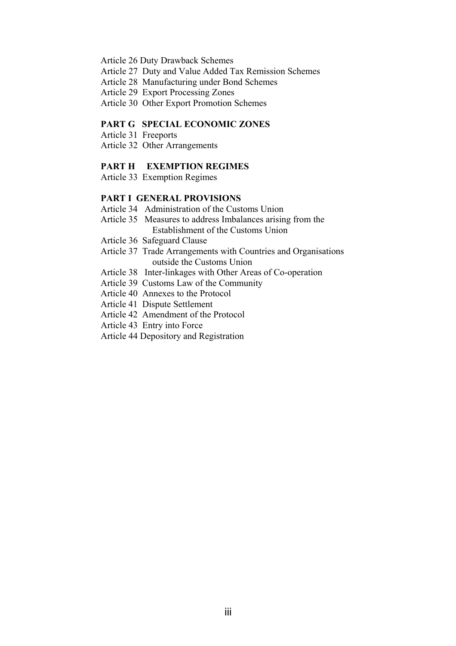- Article 26 Duty Drawback Schemes
- Article 27 Duty and Value Added Tax Remission Schemes
- Article 28 Manufacturing under Bond Schemes
- Article 29 Export Processing Zones
- Article 30 Other Export Promotion Schemes

#### **PART G SPECIAL ECONOMIC ZONES**

- Article 31 Freeports
- Article 32 Other Arrangements

#### **PART H EXEMPTION REGIMES**

Article 33 Exemption Regimes

#### **PART I GENERAL PROVISIONS**

- Article 34 Administration of the Customs Union
- Article 35 Measures to address Imbalances arising from the Establishment of the Customs Union
- Article 36 Safeguard Clause
- Article 37 Trade Arrangements with Countries and Organisations outside the Customs Union
- Article 38 Inter-linkages with Other Areas of Co-operation
- Article 39 Customs Law of the Community
- Article 40 Annexes to the Protocol
- Article 41 Dispute Settlement
- Article 42 Amendment of the Protocol
- Article 43 Entry into Force
- Article 44 Depository and Registration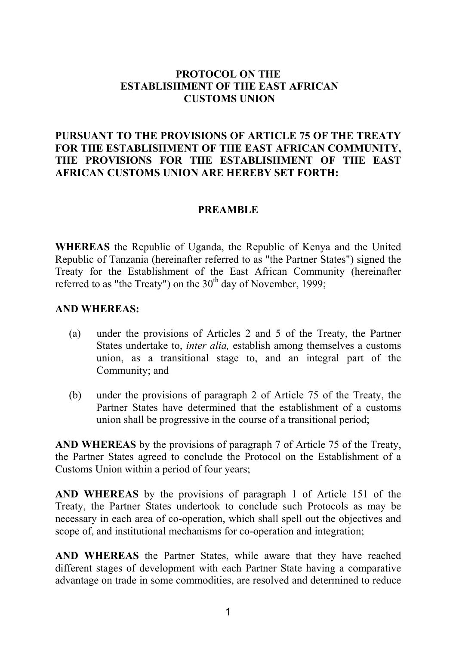### **PROTOCOL ON THE ESTABLISHMENT OF THE EAST AFRICAN CUSTOMS UNION**

## **PURSUANT TO THE PROVISIONS OF ARTICLE 75 OF THE TREATY FOR THE ESTABLISHMENT OF THE EAST AFRICAN COMMUNITY, THE PROVISIONS FOR THE ESTABLISHMENT OF THE EAST AFRICAN CUSTOMS UNION ARE HEREBY SET FORTH:**

#### **PREAMBLE**

**WHEREAS** the Republic of Uganda, the Republic of Kenya and the United Republic of Tanzania (hereinafter referred to as "the Partner States") signed the Treaty for the Establishment of the East African Community (hereinafter referred to as "the Treaty") on the  $30<sup>th</sup>$  day of November, 1999;

#### **AND WHEREAS:**

- (a) under the provisions of Articles 2 and 5 of the Treaty, the Partner States undertake to, *inter alia,* establish among themselves a customs union, as a transitional stage to, and an integral part of the Community; and
- (b) under the provisions of paragraph 2 of Article 75 of the Treaty, the Partner States have determined that the establishment of a customs union shall be progressive in the course of a transitional period;

**AND WHEREAS** by the provisions of paragraph 7 of Article 75 of the Treaty, the Partner States agreed to conclude the Protocol on the Establishment of a Customs Union within a period of four years;

**AND WHEREAS** by the provisions of paragraph 1 of Article 151 of the Treaty, the Partner States undertook to conclude such Protocols as may be necessary in each area of co-operation, which shall spell out the objectives and scope of, and institutional mechanisms for co-operation and integration;

**AND WHEREAS** the Partner States, while aware that they have reached different stages of development with each Partner State having a comparative advantage on trade in some commodities, are resolved and determined to reduce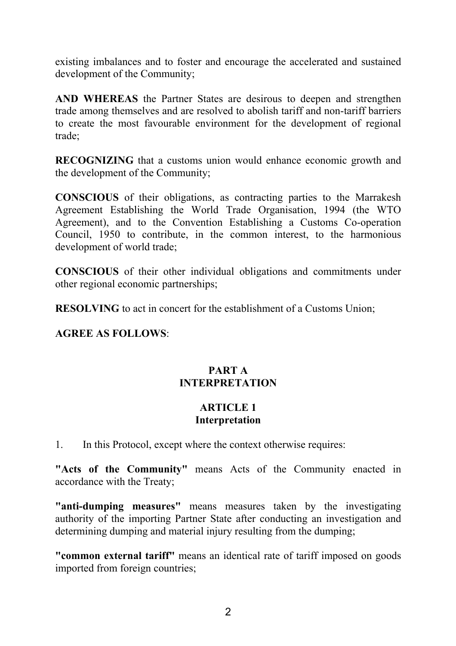existing imbalances and to foster and encourage the accelerated and sustained development of the Community;

**AND WHEREAS** the Partner States are desirous to deepen and strengthen trade among themselves and are resolved to abolish tariff and non-tariff barriers to create the most favourable environment for the development of regional trade;

**RECOGNIZING** that a customs union would enhance economic growth and the development of the Community;

**CONSCIOUS** of their obligations, as contracting parties to the Marrakesh Agreement Establishing the World Trade Organisation, 1994 (the WTO Agreement), and to the Convention Establishing a Customs Co-operation Council, 1950 to contribute, in the common interest, to the harmonious development of world trade;

**CONSCIOUS** of their other individual obligations and commitments under other regional economic partnerships;

**RESOLVING** to act in concert for the establishment of a Customs Union;

### **AGREE AS FOLLOWS**:

# **PART A INTERPRETATION**

### **ARTICLE 1 Interpretation**

1. In this Protocol, except where the context otherwise requires:

**"Acts of the Community"** means Acts of the Community enacted in accordance with the Treaty;

**"anti-dumping measures"** means measures taken by the investigating authority of the importing Partner State after conducting an investigation and determining dumping and material injury resulting from the dumping;

**"common external tariff"** means an identical rate of tariff imposed on goods imported from foreign countries;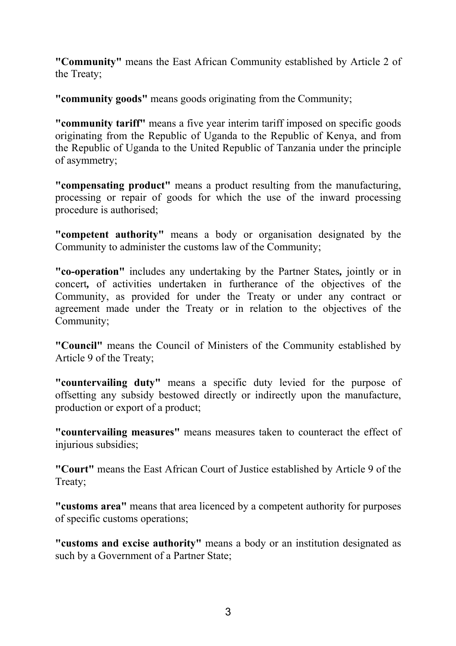**"Community"** means the East African Community established by Article 2 of the Treaty;

**"community goods"** means goods originating from the Community;

**"community tariff"** means a five year interim tariff imposed on specific goods originating from the Republic of Uganda to the Republic of Kenya, and from the Republic of Uganda to the United Republic of Tanzania under the principle of asymmetry;

**"compensating product"** means a product resulting from the manufacturing, processing or repair of goods for which the use of the inward processing procedure is authorised;

**"competent authority"** means a body or organisation designated by the Community to administer the customs law of the Community;

**"co-operation"** includes any undertaking by the Partner States*,* jointly or in concert*,* of activities undertaken in furtherance of the objectives of the Community, as provided for under the Treaty or under any contract or agreement made under the Treaty or in relation to the objectives of the Community;

**"Council"** means the Council of Ministers of the Community established by Article 9 of the Treaty;

**"countervailing duty"** means a specific duty levied for the purpose of offsetting any subsidy bestowed directly or indirectly upon the manufacture, production or export of a product;

**"countervailing measures"** means measures taken to counteract the effect of injurious subsidies;

**"Court"** means the East African Court of Justice established by Article 9 of the Treaty;

**"customs area"** means that area licenced by a competent authority for purposes of specific customs operations;

**"customs and excise authority"** means a body or an institution designated as such by a Government of a Partner State;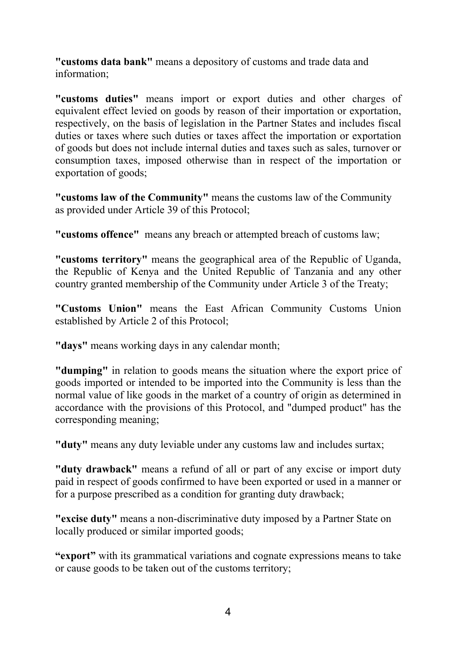**"customs data bank"** means a depository of customs and trade data and information;

**"customs duties"** means import or export duties and other charges of equivalent effect levied on goods by reason of their importation or exportation, respectively, on the basis of legislation in the Partner States and includes fiscal duties or taxes where such duties or taxes affect the importation or exportation of goods but does not include internal duties and taxes such as sales, turnover or consumption taxes, imposed otherwise than in respect of the importation or exportation of goods;

**"customs law of the Community"** means the customs law of the Community as provided under Article 39 of this Protocol;

**"customs offence"** means any breach or attempted breach of customs law;

**"customs territory"** means the geographical area of the Republic of Uganda, the Republic of Kenya and the United Republic of Tanzania and any other country granted membership of the Community under Article 3 of the Treaty;

**"Customs Union"** means the East African Community Customs Union established by Article 2 of this Protocol;

**"days"** means working days in any calendar month;

**"dumping"** in relation to goods means the situation where the export price of goods imported or intended to be imported into the Community is less than the normal value of like goods in the market of a country of origin as determined in accordance with the provisions of this Protocol, and "dumped product" has the corresponding meaning;

**"duty"** means any duty leviable under any customs law and includes surtax;

**"duty drawback"** means a refund of all or part of any excise or import duty paid in respect of goods confirmed to have been exported or used in a manner or for a purpose prescribed as a condition for granting duty drawback;

**"excise duty"** means a non-discriminative duty imposed by a Partner State on locally produced or similar imported goods;

**"export"** with its grammatical variations and cognate expressions means to take or cause goods to be taken out of the customs territory;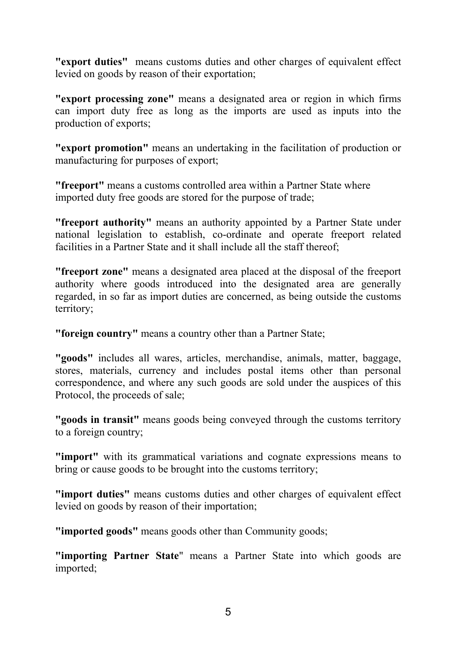**"export duties"** means customs duties and other charges of equivalent effect levied on goods by reason of their exportation;

**"export processing zone"** means a designated area or region in which firms can import duty free as long as the imports are used as inputs into the production of exports;

**"export promotion"** means an undertaking in the facilitation of production or manufacturing for purposes of export;

**"freeport"** means a customs controlled area within a Partner State where imported duty free goods are stored for the purpose of trade;

**"freeport authority"** means an authority appointed by a Partner State under national legislation to establish, co-ordinate and operate freeport related facilities in a Partner State and it shall include all the staff thereof;

**"freeport zone"** means a designated area placed at the disposal of the freeport authority where goods introduced into the designated area are generally regarded, in so far as import duties are concerned, as being outside the customs territory;

**"foreign country"** means a country other than a Partner State;

**"goods"** includes all wares, articles, merchandise, animals, matter, baggage, stores, materials, currency and includes postal items other than personal correspondence, and where any such goods are sold under the auspices of this Protocol, the proceeds of sale;

**"goods in transit"** means goods being conveyed through the customs territory to a foreign country;

**"import"** with its grammatical variations and cognate expressions means to bring or cause goods to be brought into the customs territory;

**"import duties"** means customs duties and other charges of equivalent effect levied on goods by reason of their importation;

**"imported goods"** means goods other than Community goods;

**"importing Partner State**" means a Partner State into which goods are imported;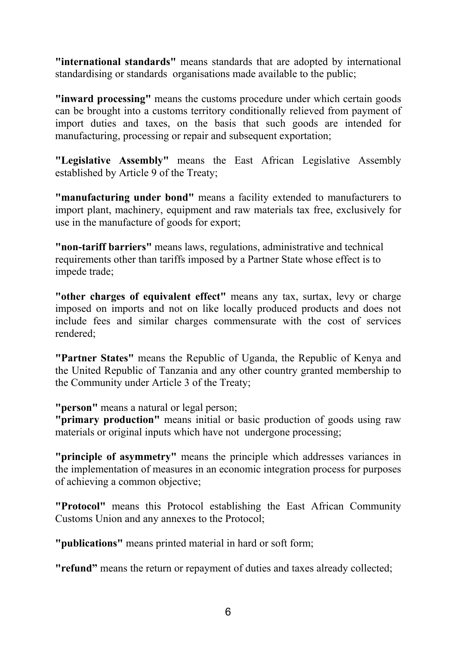**"international standards"** means standards that are adopted by international standardising or standards organisations made available to the public;

**"inward processing"** means the customs procedure under which certain goods can be brought into a customs territory conditionally relieved from payment of import duties and taxes, on the basis that such goods are intended for manufacturing, processing or repair and subsequent exportation;

**"Legislative Assembly"** means the East African Legislative Assembly established by Article 9 of the Treaty;

**"manufacturing under bond"** means a facility extended to manufacturers to import plant, machinery, equipment and raw materials tax free, exclusively for use in the manufacture of goods for export;

**"non-tariff barriers"** means laws, regulations, administrative and technical requirements other than tariffs imposed by a Partner State whose effect is to impede trade;

**"other charges of equivalent effect"** means any tax, surtax, levy or charge imposed on imports and not on like locally produced products and does not include fees and similar charges commensurate with the cost of services rendered;

**"Partner States"** means the Republic of Uganda, the Republic of Kenya and the United Republic of Tanzania and any other country granted membership to the Community under Article 3 of the Treaty;

**"person"** means a natural or legal person;

**"primary production"** means initial or basic production of goods using raw materials or original inputs which have not undergone processing;

**"principle of asymmetry"** means the principle which addresses variances in the implementation of measures in an economic integration process for purposes of achieving a common objective;

**"Protocol"** means this Protocol establishing the East African Community Customs Union and any annexes to the Protocol;

**"publications"** means printed material in hard or soft form;

**"refund"** means the return or repayment of duties and taxes already collected;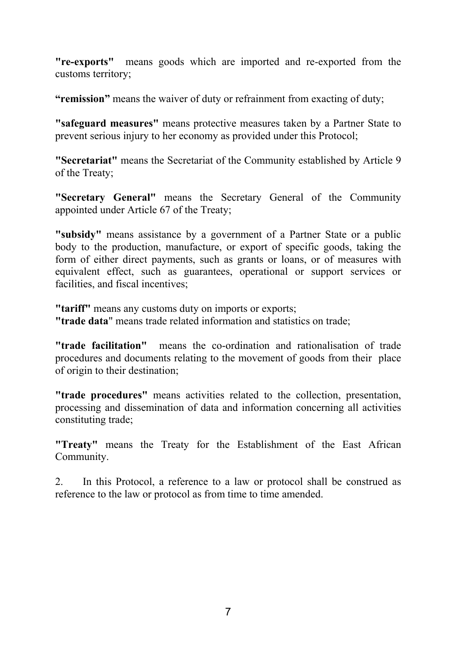**"re-exports"** means goods which are imported and re-exported from the customs territory;

**"remission"** means the waiver of duty or refrainment from exacting of duty;

**"safeguard measures"** means protective measures taken by a Partner State to prevent serious injury to her economy as provided under this Protocol;

**"Secretariat"** means the Secretariat of the Community established by Article 9 of the Treaty;

**"Secretary General"** means the Secretary General of the Community appointed under Article 67 of the Treaty;

**"subsidy"** means assistance by a government of a Partner State or a public body to the production, manufacture, or export of specific goods, taking the form of either direct payments, such as grants or loans, or of measures with equivalent effect, such as guarantees, operational or support services or facilities, and fiscal incentives;

**"tariff"** means any customs duty on imports or exports; **"trade data**" means trade related information and statistics on trade;

**"trade facilitation"** means the co-ordination and rationalisation of trade procedures and documents relating to the movement of goods from their place of origin to their destination;

**"trade procedures"** means activities related to the collection, presentation, processing and dissemination of data and information concerning all activities constituting trade;

**"Treaty"** means the Treaty for the Establishment of the East African Community.

2. In this Protocol, a reference to a law or protocol shall be construed as reference to the law or protocol as from time to time amended.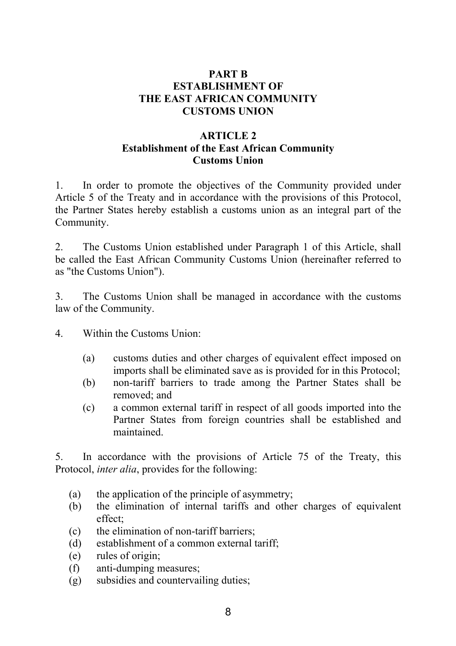## **PART B ESTABLISHMENT OF THE EAST AFRICAN COMMUNITY CUSTOMS UNION**

## **ARTICLE 2 Establishment of the East African Community Customs Union**

1. In order to promote the objectives of the Community provided under Article 5 of the Treaty and in accordance with the provisions of this Protocol, the Partner States hereby establish a customs union as an integral part of the Community.

2. The Customs Union established under Paragraph 1 of this Article, shall be called the East African Community Customs Union (hereinafter referred to as "the Customs Union").

3. The Customs Union shall be managed in accordance with the customs law of the Community.

- 4. Within the Customs Union:
	- (a) customs duties and other charges of equivalent effect imposed on imports shall be eliminated save as is provided for in this Protocol;
	- (b) non-tariff barriers to trade among the Partner States shall be removed; and
	- (c) a common external tariff in respect of all goods imported into the Partner States from foreign countries shall be established and maintained.

5. In accordance with the provisions of Article 75 of the Treaty, this Protocol, *inter alia*, provides for the following:

- (a) the application of the principle of asymmetry;
- (b) the elimination of internal tariffs and other charges of equivalent effect;
- (c) the elimination of non-tariff barriers;
- (d) establishment of a common external tariff;
- (e) rules of origin;
- (f) anti-dumping measures;
- (g) subsidies and countervailing duties;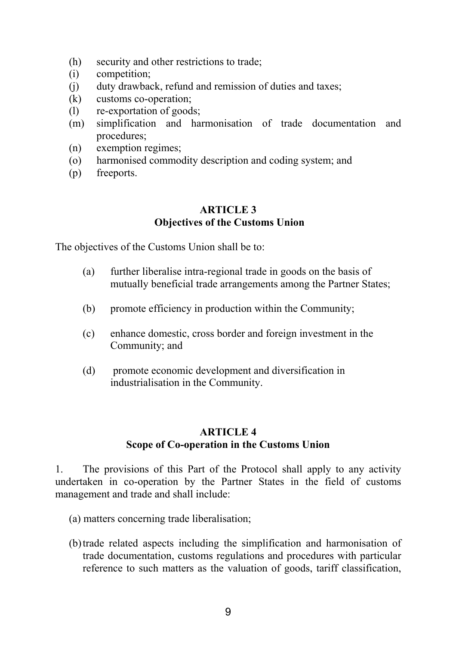- (h) security and other restrictions to trade;
- (i) competition;
- (j) duty drawback, refund and remission of duties and taxes;
- (k) customs co-operation;
- (l) re-exportation of goods;
- (m) simplification and harmonisation of trade documentation and procedures;
- (n) exemption regimes;
- (o) harmonised commodity description and coding system; and
- (p) freeports.

## **ARTICLE 3 Objectives of the Customs Union**

The objectives of the Customs Union shall be to:

- (a) further liberalise intra-regional trade in goods on the basis of mutually beneficial trade arrangements among the Partner States;
- (b) promote efficiency in production within the Community;
- (c) enhance domestic, cross border and foreign investment in the Community; and
- (d) promote economic development and diversification in industrialisation in the Community.

## **ARTICLE 4 Scope of Co-operation in the Customs Union**

1. The provisions of this Part of the Protocol shall apply to any activity undertaken in co-operation by the Partner States in the field of customs management and trade and shall include:

- (a) matters concerning trade liberalisation;
- (b) trade related aspects including the simplification and harmonisation of trade documentation, customs regulations and procedures with particular reference to such matters as the valuation of goods, tariff classification,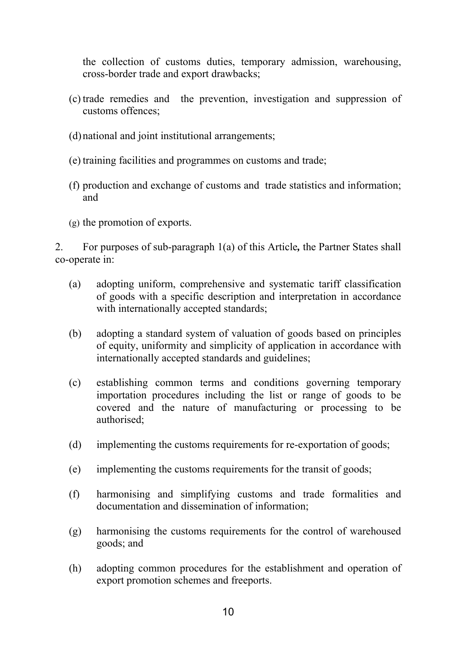the collection of customs duties, temporary admission, warehousing, cross-border trade and export drawbacks;

- (c) trade remedies and the prevention, investigation and suppression of customs offences;
- (d) national and joint institutional arrangements;
- (e) training facilities and programmes on customs and trade;
- (f) production and exchange of customs and trade statistics and information; and
- (g) the promotion of exports.

2. For purposes of sub-paragraph 1(a) of this Article*,* the Partner States shall co-operate in:

- (a) adopting uniform, comprehensive and systematic tariff classification of goods with a specific description and interpretation in accordance with internationally accepted standards;
- (b) adopting a standard system of valuation of goods based on principles of equity, uniformity and simplicity of application in accordance with internationally accepted standards and guidelines;
- (c) establishing common terms and conditions governing temporary importation procedures including the list or range of goods to be covered and the nature of manufacturing or processing to be authorised;
- (d) implementing the customs requirements for re-exportation of goods;
- (e) implementing the customs requirements for the transit of goods;
- (f) harmonising and simplifying customs and trade formalities and documentation and dissemination of information;
- (g) harmonising the customs requirements for the control of warehoused goods; and
- (h) adopting common procedures for the establishment and operation of export promotion schemes and freeports.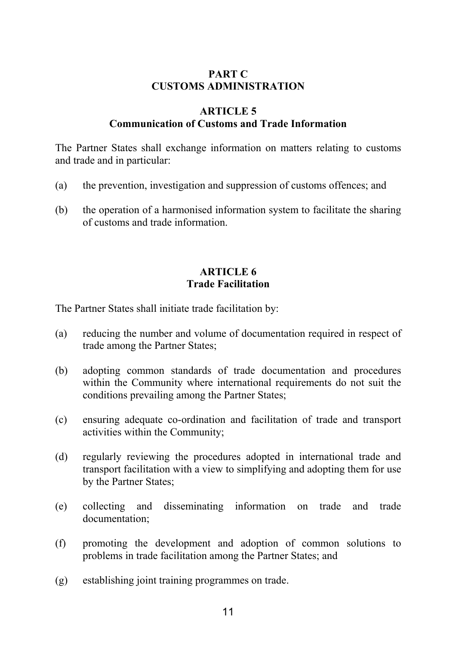## **PART C CUSTOMS ADMINISTRATION**

### **ARTICLE 5**

# **Communication of Customs and Trade Information**

The Partner States shall exchange information on matters relating to customs and trade and in particular:

- (a) the prevention, investigation and suppression of customs offences; and
- (b) the operation of a harmonised information system to facilitate the sharing of customs and trade information.

## **ARTICLE 6 Trade Facilitation**

The Partner States shall initiate trade facilitation by:

- (a) reducing the number and volume of documentation required in respect of trade among the Partner States;
- (b) adopting common standards of trade documentation and procedures within the Community where international requirements do not suit the conditions prevailing among the Partner States;
- (c) ensuring adequate co-ordination and facilitation of trade and transport activities within the Community;
- (d) regularly reviewing the procedures adopted in international trade and transport facilitation with a view to simplifying and adopting them for use by the Partner States;
- (e) collecting and disseminating information on trade and trade documentation;
- (f) promoting the development and adoption of common solutions to problems in trade facilitation among the Partner States; and
- (g) establishing joint training programmes on trade.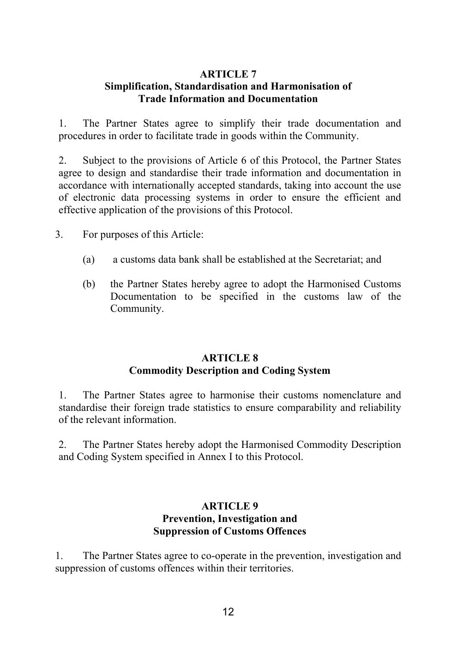## **ARTICLE 7 Simplification, Standardisation and Harmonisation of Trade Information and Documentation**

1. The Partner States agree to simplify their trade documentation and procedures in order to facilitate trade in goods within the Community.

2. Subject to the provisions of Article 6 of this Protocol, the Partner States agree to design and standardise their trade information and documentation in accordance with internationally accepted standards, taking into account the use of electronic data processing systems in order to ensure the efficient and effective application of the provisions of this Protocol.

3. For purposes of this Article:

- (a) a customs data bank shall be established at the Secretariat; and
- (b) the Partner States hereby agree to adopt the Harmonised Customs Documentation to be specified in the customs law of the Community.

## **ARTICLE 8 Commodity Description and Coding System**

1. The Partner States agree to harmonise their customs nomenclature and standardise their foreign trade statistics to ensure comparability and reliability of the relevant information.

2. The Partner States hereby adopt the Harmonised Commodity Description and Coding System specified in Annex I to this Protocol.

### **ARTICLE 9 Prevention, Investigation and Suppression of Customs Offences**

1. The Partner States agree to co-operate in the prevention, investigation and suppression of customs offences within their territories.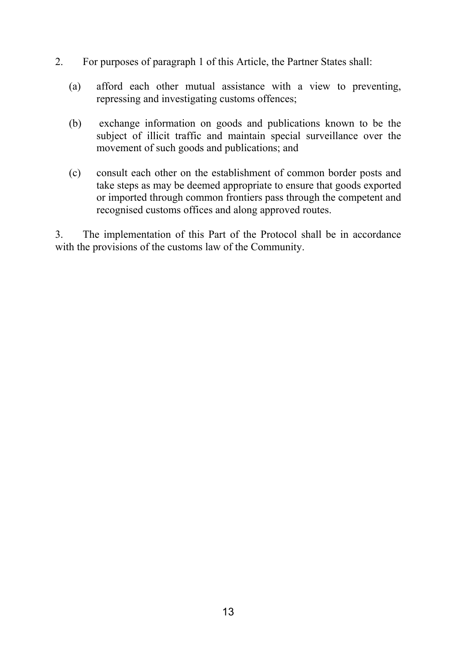- 2. For purposes of paragraph 1 of this Article, the Partner States shall:
	- (a) afford each other mutual assistance with a view to preventing, repressing and investigating customs offences;
	- (b) exchange information on goods and publications known to be the subject of illicit traffic and maintain special surveillance over the movement of such goods and publications; and
	- (c) consult each other on the establishment of common border posts and take steps as may be deemed appropriate to ensure that goods exported or imported through common frontiers pass through the competent and recognised customs offices and along approved routes.

3. The implementation of this Part of the Protocol shall be in accordance with the provisions of the customs law of the Community.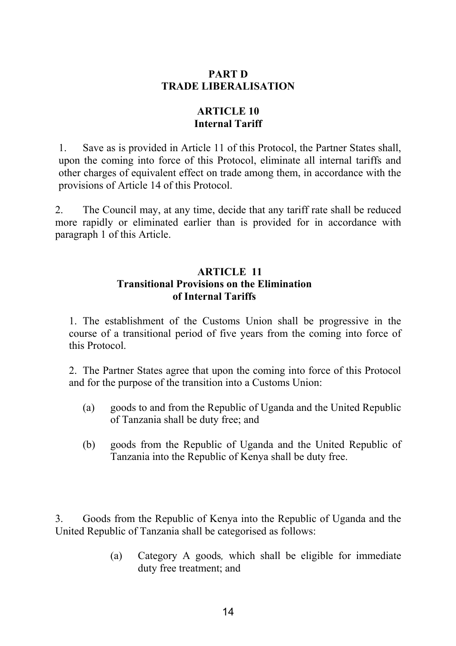## **PART D TRADE LIBERALISATION**

# **ARTICLE 10 Internal Tariff**

1. Save as is provided in Article 11 of this Protocol, the Partner States shall, upon the coming into force of this Protocol, eliminate all internal tariffs and other charges of equivalent effect on trade among them, in accordance with the provisions of Article 14 of this Protocol.

2. The Council may, at any time, decide that any tariff rate shall be reduced more rapidly or eliminated earlier than is provided for in accordance with paragraph 1 of this Article.

## **ARTICLE 11 Transitional Provisions on the Elimination of Internal Tariffs**

1. The establishment of the Customs Union shall be progressive in the course of a transitional period of five years from the coming into force of this Protocol.

2. The Partner States agree that upon the coming into force of this Protocol and for the purpose of the transition into a Customs Union:

- (a) goods to and from the Republic of Uganda and the United Republic of Tanzania shall be duty free; and
- (b) goods from the Republic of Uganda and the United Republic of Tanzania into the Republic of Kenya shall be duty free.

3. Goods from the Republic of Kenya into the Republic of Uganda and the United Republic of Tanzania shall be categorised as follows:

> (a) Category A goods*,* which shall be eligible for immediate duty free treatment; and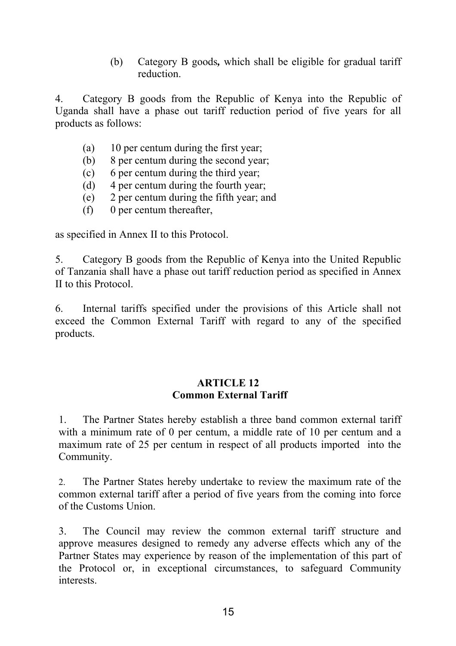(b) Category B goods*,* which shall be eligible for gradual tariff reduction.

4. Category B goods from the Republic of Kenya into the Republic of Uganda shall have a phase out tariff reduction period of five years for all products as follows:

- (a) 10 per centum during the first year;
- (b) 8 per centum during the second year;
- (c) 6 per centum during the third year;
- (d) 4 per centum during the fourth year;
- (e) 2 per centum during the fifth year; and
- (f) 0 per centum thereafter,

as specified in Annex II to this Protocol.

5. Category B goods from the Republic of Kenya into the United Republic of Tanzania shall have a phase out tariff reduction period as specified in Annex II to this Protocol.

6. Internal tariffs specified under the provisions of this Article shall not exceed the Common External Tariff with regard to any of the specified products.

### **ARTICLE 12 Common External Tariff**

1. The Partner States hereby establish a three band common external tariff with a minimum rate of 0 per centum, a middle rate of 10 per centum and a maximum rate of 25 per centum in respect of all products imported into the Community.

2. The Partner States hereby undertake to review the maximum rate of the common external tariff after a period of five years from the coming into force of the Customs Union.

3. The Council may review the common external tariff structure and approve measures designed to remedy any adverse effects which any of the Partner States may experience by reason of the implementation of this part of the Protocol or, in exceptional circumstances, to safeguard Community interests.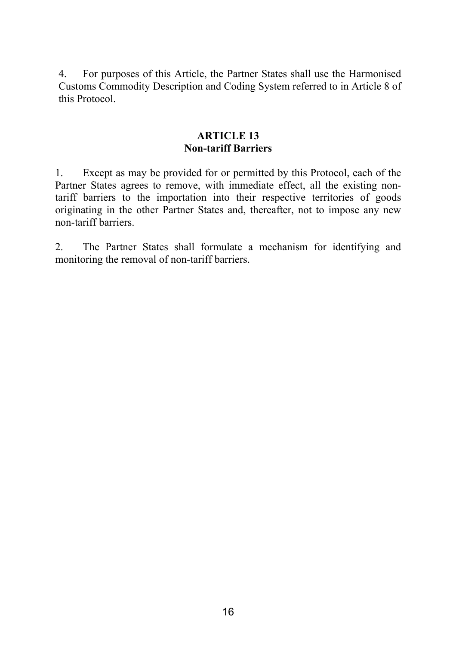4. For purposes of this Article, the Partner States shall use the Harmonised Customs Commodity Description and Coding System referred to in Article 8 of this Protocol.

## **ARTICLE 13 Non-tariff Barriers**

1. Except as may be provided for or permitted by this Protocol, each of the Partner States agrees to remove, with immediate effect, all the existing nontariff barriers to the importation into their respective territories of goods originating in the other Partner States and, thereafter, not to impose any new non-tariff barriers.

2. The Partner States shall formulate a mechanism for identifying and monitoring the removal of non-tariff barriers.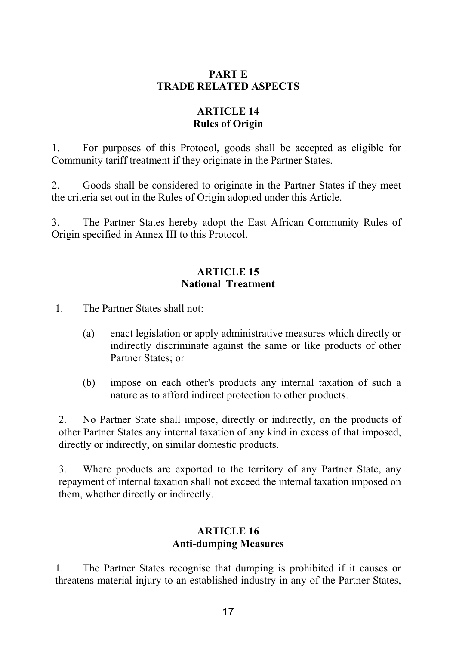## **PART E TRADE RELATED ASPECTS**

# **ARTICLE 14 Rules of Origin**

1. For purposes of this Protocol, goods shall be accepted as eligible for Community tariff treatment if they originate in the Partner States.

2. Goods shall be considered to originate in the Partner States if they meet the criteria set out in the Rules of Origin adopted under this Article.

3. The Partner States hereby adopt the East African Community Rules of Origin specified in Annex III to this Protocol.

## **ARTICLE 15 National Treatment**

1. The Partner States shall not:

- (a) enact legislation or apply administrative measures which directly or indirectly discriminate against the same or like products of other Partner States; or
- (b) impose on each other's products any internal taxation of such a nature as to afford indirect protection to other products.

2. No Partner State shall impose, directly or indirectly, on the products of other Partner States any internal taxation of any kind in excess of that imposed, directly or indirectly, on similar domestic products.

3. Where products are exported to the territory of any Partner State, any repayment of internal taxation shall not exceed the internal taxation imposed on them, whether directly or indirectly.

## **ARTICLE 16 Anti-dumping Measures**

1. The Partner States recognise that dumping is prohibited if it causes or threatens material injury to an established industry in any of the Partner States,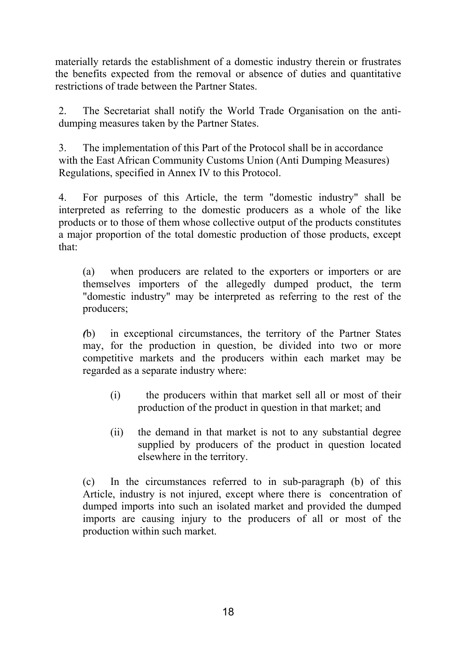materially retards the establishment of a domestic industry therein or frustrates the benefits expected from the removal or absence of duties and quantitative restrictions of trade between the Partner States.

2. The Secretariat shall notify the World Trade Organisation on the antidumping measures taken by the Partner States.

3. The implementation of this Part of the Protocol shall be in accordance with the East African Community Customs Union (Anti Dumping Measures) Regulations, specified in Annex IV to this Protocol.

4. For purposes of this Article, the term "domestic industry" shall be interpreted as referring to the domestic producers as a whole of the like products or to those of them whose collective output of the products constitutes a major proportion of the total domestic production of those products, except that:

(a) when producers are related to the exporters or importers or are themselves importers of the allegedly dumped product, the term "domestic industry" may be interpreted as referring to the rest of the producers;

*(*b) in exceptional circumstances, the territory of the Partner States may, for the production in question, be divided into two or more competitive markets and the producers within each market may be regarded as a separate industry where:

- (i) the producers within that market sell all or most of their production of the product in question in that market; and
- (ii) the demand in that market is not to any substantial degree supplied by producers of the product in question located elsewhere in the territory.

(c) In the circumstances referred to in sub-paragraph (b) of this Article, industry is not injured, except where there is concentration of dumped imports into such an isolated market and provided the dumped imports are causing injury to the producers of all or most of the production within such market.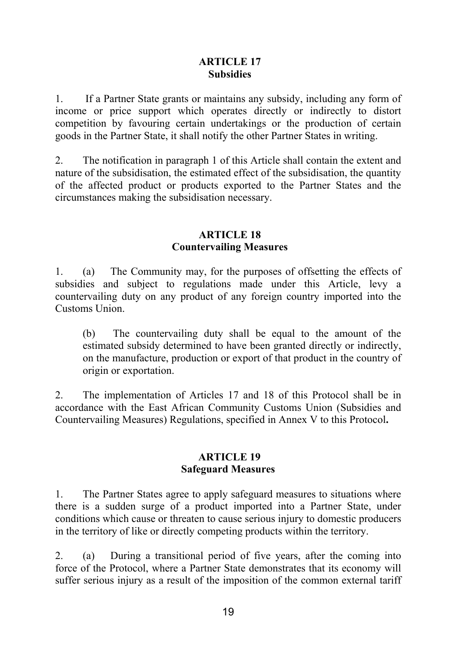## **ARTICLE 17 Subsidies**

1. If a Partner State grants or maintains any subsidy, including any form of income or price support which operates directly or indirectly to distort competition by favouring certain undertakings or the production of certain goods in the Partner State, it shall notify the other Partner States in writing.

2. The notification in paragraph 1 of this Article shall contain the extent and nature of the subsidisation, the estimated effect of the subsidisation, the quantity of the affected product or products exported to the Partner States and the circumstances making the subsidisation necessary.

### **ARTICLE 18 Countervailing Measures**

1. (a) The Community may, for the purposes of offsetting the effects of subsidies and subject to regulations made under this Article, levy a countervailing duty on any product of any foreign country imported into the Customs Union.

(b) The countervailing duty shall be equal to the amount of the estimated subsidy determined to have been granted directly or indirectly, on the manufacture, production or export of that product in the country of origin or exportation.

2. The implementation of Articles 17 and 18 of this Protocol shall be in accordance with the East African Community Customs Union (Subsidies and Countervailing Measures) Regulations, specified in Annex V to this Protocol**.** 

## **ARTICLE 19 Safeguard Measures**

1. The Partner States agree to apply safeguard measures to situations where there is a sudden surge of a product imported into a Partner State, under conditions which cause or threaten to cause serious injury to domestic producers in the territory of like or directly competing products within the territory.

2. (a) During a transitional period of five years, after the coming into force of the Protocol, where a Partner State demonstrates that its economy will suffer serious injury as a result of the imposition of the common external tariff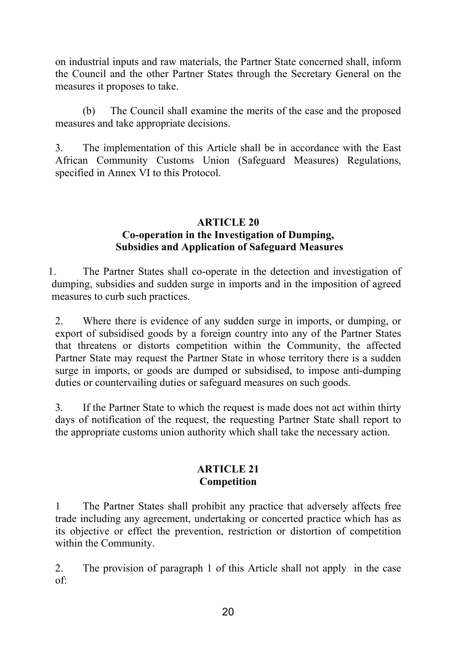on industrial inputs and raw materials, the Partner State concerned shall, inform the Council and the other Partner States through the Secretary General on the measures it proposes to take.

(b) The Council shall examine the merits of the case and the proposed measures and take appropriate decisions.

3. The implementation of this Article shall be in accordance with the East African Community Customs Union (Safeguard Measures) Regulations, specified in Annex VI to this Protocol.

## **ARTICLE 20 Co-operation in the Investigation of Dumping, Subsidies and Application of Safeguard Measures**

1. The Partner States shall co-operate in the detection and investigation of dumping, subsidies and sudden surge in imports and in the imposition of agreed measures to curb such practices.

2. Where there is evidence of any sudden surge in imports, or dumping, or export of subsidised goods by a foreign country into any of the Partner States that threatens or distorts competition within the Community, the affected Partner State may request the Partner State in whose territory there is a sudden surge in imports, or goods are dumped or subsidised, to impose anti-dumping duties or countervailing duties or safeguard measures on such goods.

3. If the Partner State to which the request is made does not act within thirty days of notification of the request, the requesting Partner State shall report to the appropriate customs union authority which shall take the necessary action.

### **ARTICLE 21 Competition**

1 The Partner States shall prohibit any practice that adversely affects free trade including any agreement, undertaking or concerted practice which has as its objective or effect the prevention, restriction or distortion of competition within the Community.

2. The provision of paragraph 1 of this Article shall not apply in the case of: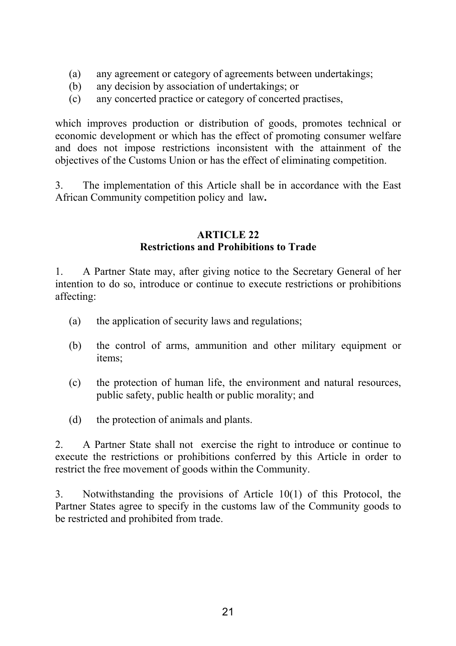- (a) any agreement or category of agreements between undertakings;
- (b) any decision by association of undertakings; or
- (c) any concerted practice or category of concerted practises,

which improves production or distribution of goods, promotes technical or economic development or which has the effect of promoting consumer welfare and does not impose restrictions inconsistent with the attainment of the objectives of the Customs Union or has the effect of eliminating competition.

3. The implementation of this Article shall be in accordance with the East African Community competition policy and law**.** 

### **ARTICLE 22 Restrictions and Prohibitions to Trade**

1. A Partner State may, after giving notice to the Secretary General of her intention to do so, introduce or continue to execute restrictions or prohibitions affecting:

- (a) the application of security laws and regulations;
- (b) the control of arms, ammunition and other military equipment or items;
- (c) the protection of human life, the environment and natural resources, public safety, public health or public morality; and
- (d) the protection of animals and plants.

2. A Partner State shall not exercise the right to introduce or continue to execute the restrictions or prohibitions conferred by this Article in order to restrict the free movement of goods within the Community.

3. Notwithstanding the provisions of Article 10(1) of this Protocol, the Partner States agree to specify in the customs law of the Community goods to be restricted and prohibited from trade.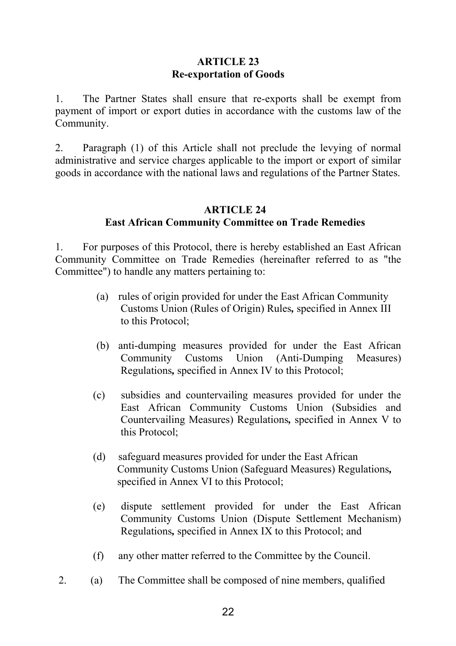## **ARTICLE 23 Re-exportation of Goods**

1. The Partner States shall ensure that re-exports shall be exempt from payment of import or export duties in accordance with the customs law of the Community.

2. Paragraph (1) of this Article shall not preclude the levying of normal administrative and service charges applicable to the import or export of similar goods in accordance with the national laws and regulations of the Partner States.

# **ARTICLE 24 East African Community Committee on Trade Remedies**

1. For purposes of this Protocol, there is hereby established an East African Community Committee on Trade Remedies (hereinafter referred to as "the Committee") to handle any matters pertaining to:

- (a) rules of origin provided for under the East African Community Customs Union (Rules of Origin) Rules*,* specified in Annex III to this Protocol;
- (b) anti-dumping measures provided for under the East African Community Customs Union (Anti-Dumping Measures) Regulations*,* specified in Annex IV to this Protocol;
- (c) subsidies and countervailing measures provided for under the East African Community Customs Union (Subsidies and Countervailing Measures) Regulations*,* specified in Annex V to this Protocol;
- (d) safeguard measures provided for under the East African Community Customs Union (Safeguard Measures) Regulations*,* specified in Annex VI to this Protocol;
- (e) dispute settlement provided for under the East African Community Customs Union (Dispute Settlement Mechanism) Regulations*,* specified in Annex IX to this Protocol; and
- (f) any other matter referred to the Committee by the Council.
- 2. (a) The Committee shall be composed of nine members, qualified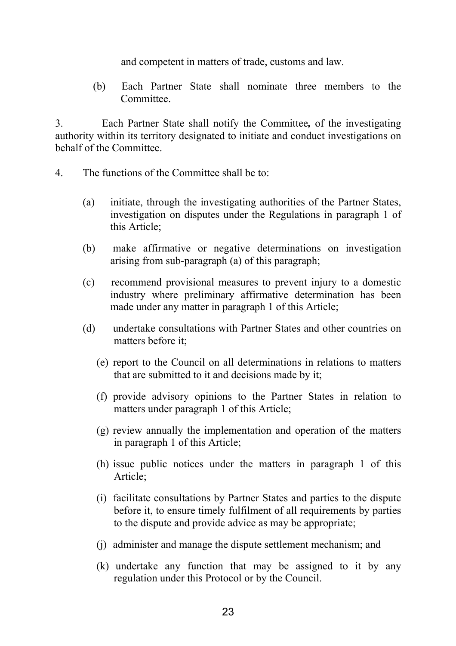and competent in matters of trade, customs and law.

(b) Each Partner State shall nominate three members to the Committee.

3. Each Partner State shall notify the Committee*,* of the investigating authority within its territory designated to initiate and conduct investigations on behalf of the Committee.

- 4. The functions of the Committee shall be to:
	- (a) initiate, through the investigating authorities of the Partner States, investigation on disputes under the Regulations in paragraph 1 of this Article;
	- (b) make affirmative or negative determinations on investigation arising from sub-paragraph (a) of this paragraph;
	- (c) recommend provisional measures to prevent injury to a domestic industry where preliminary affirmative determination has been made under any matter in paragraph 1 of this Article;
	- (d) undertake consultations with Partner States and other countries on matters before it;
		- (e) report to the Council on all determinations in relations to matters that are submitted to it and decisions made by it;
		- (f) provide advisory opinions to the Partner States in relation to matters under paragraph 1 of this Article;
		- (g) review annually the implementation and operation of the matters in paragraph 1 of this Article;
		- (h) issue public notices under the matters in paragraph 1 of this Article;
		- (i) facilitate consultations by Partner States and parties to the dispute before it, to ensure timely fulfilment of all requirements by parties to the dispute and provide advice as may be appropriate;
		- (j) administer and manage the dispute settlement mechanism; and
		- (k) undertake any function that may be assigned to it by any regulation under this Protocol or by the Council.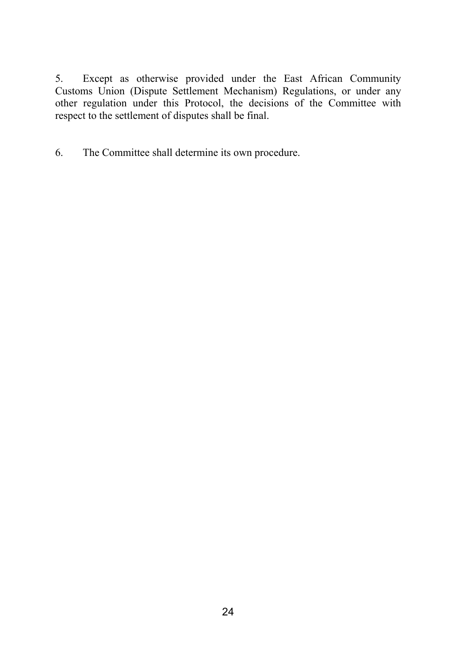5. Except as otherwise provided under the East African Community Customs Union (Dispute Settlement Mechanism) Regulations, or under any other regulation under this Protocol, the decisions of the Committee with respect to the settlement of disputes shall be final.

6. The Committee shall determine its own procedure.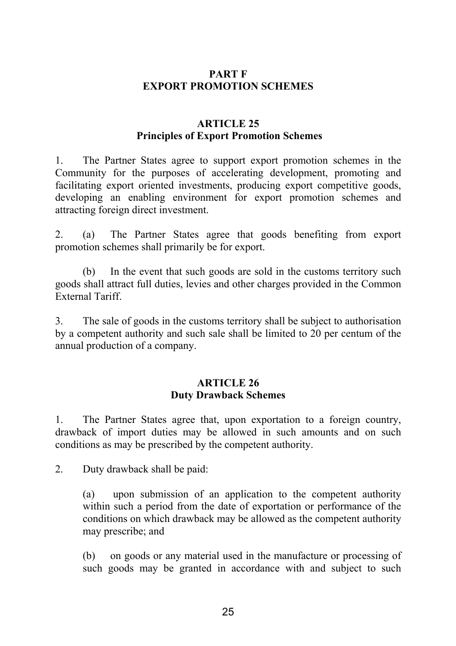## **PART F EXPORT PROMOTION SCHEMES**

## **ARTICLE 25 Principles of Export Promotion Schemes**

1. The Partner States agree to support export promotion schemes in the Community for the purposes of accelerating development, promoting and facilitating export oriented investments, producing export competitive goods, developing an enabling environment for export promotion schemes and attracting foreign direct investment.

2. (a) The Partner States agree that goods benefiting from export promotion schemes shall primarily be for export.

(b) In the event that such goods are sold in the customs territory such goods shall attract full duties, levies and other charges provided in the Common External Tariff.

3. The sale of goods in the customs territory shall be subject to authorisation by a competent authority and such sale shall be limited to 20 per centum of the annual production of a company.

### **ARTICLE 26 Duty Drawback Schemes**

1. The Partner States agree that, upon exportation to a foreign country, drawback of import duties may be allowed in such amounts and on such conditions as may be prescribed by the competent authority.

2. Duty drawback shall be paid:

(a) upon submission of an application to the competent authority within such a period from the date of exportation or performance of the conditions on which drawback may be allowed as the competent authority may prescribe; and

(b) on goods or any material used in the manufacture or processing of such goods may be granted in accordance with and subject to such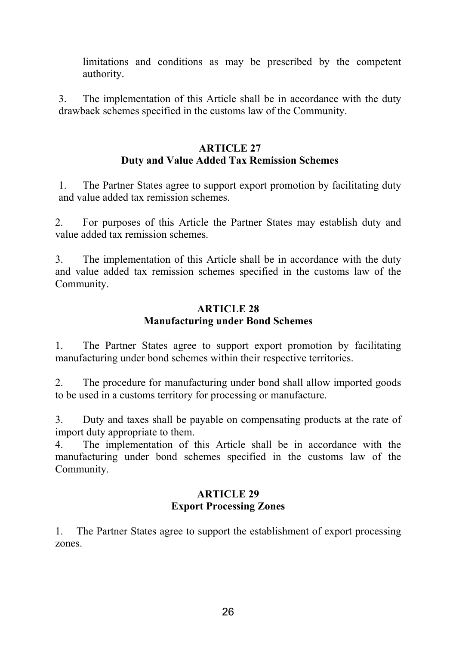limitations and conditions as may be prescribed by the competent authority.

3. The implementation of this Article shall be in accordance with the duty drawback schemes specified in the customs law of the Community.

## **ARTICLE 27 Duty and Value Added Tax Remission Schemes**

1. The Partner States agree to support export promotion by facilitating duty and value added tax remission schemes.

2. For purposes of this Article the Partner States may establish duty and value added tax remission schemes.

3. The implementation of this Article shall be in accordance with the duty and value added tax remission schemes specified in the customs law of the Community.

## **ARTICLE 28 Manufacturing under Bond Schemes**

1. The Partner States agree to support export promotion by facilitating manufacturing under bond schemes within their respective territories.

2. The procedure for manufacturing under bond shall allow imported goods to be used in a customs territory for processing or manufacture.

3. Duty and taxes shall be payable on compensating products at the rate of import duty appropriate to them.

4. The implementation of this Article shall be in accordance with the manufacturing under bond schemes specified in the customs law of the Community.

## **ARTICLE 29 Export Processing Zones**

1. The Partner States agree to support the establishment of export processing zones.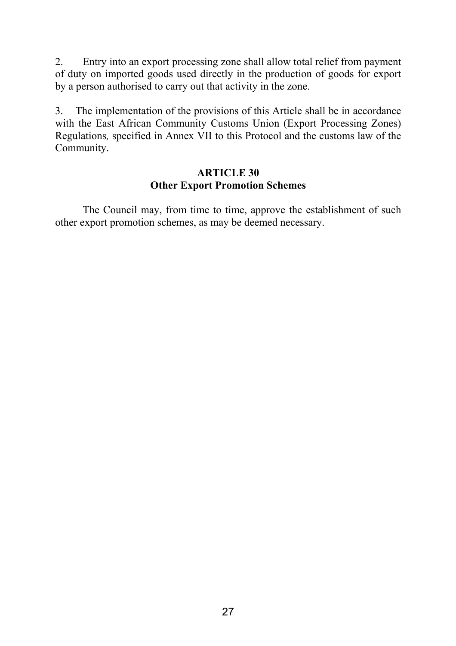2. Entry into an export processing zone shall allow total relief from payment of duty on imported goods used directly in the production of goods for export by a person authorised to carry out that activity in the zone.

3. The implementation of the provisions of this Article shall be in accordance with the East African Community Customs Union (Export Processing Zones) Regulations*,* specified in Annex VII to this Protocol and the customs law of the Community.

## **ARTICLE 30 Other Export Promotion Schemes**

The Council may, from time to time, approve the establishment of such other export promotion schemes, as may be deemed necessary.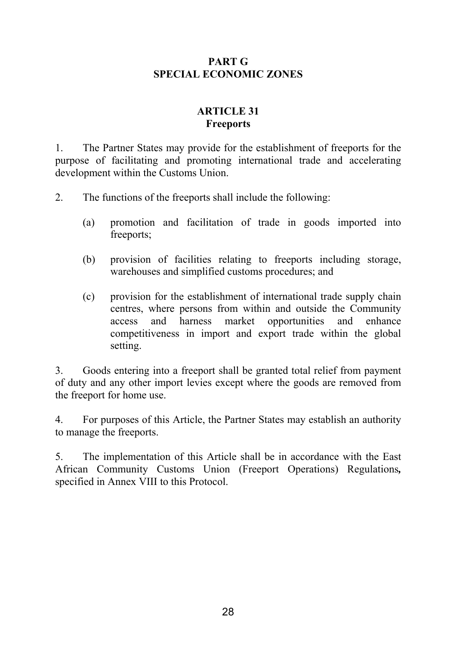## **PART G SPECIAL ECONOMIC ZONES**

# **ARTICLE 31 Freeports**

1. The Partner States may provide for the establishment of freeports for the purpose of facilitating and promoting international trade and accelerating development within the Customs Union.

2. The functions of the freeports shall include the following:

- (a) promotion and facilitation of trade in goods imported into freeports;
- (b) provision of facilities relating to freeports including storage, warehouses and simplified customs procedures; and
- (c) provision for the establishment of international trade supply chain centres, where persons from within and outside the Community access and harness market opportunities and enhance competitiveness in import and export trade within the global setting.

3. Goods entering into a freeport shall be granted total relief from payment of duty and any other import levies except where the goods are removed from the freeport for home use.

4. For purposes of this Article, the Partner States may establish an authority to manage the freeports.

5. The implementation of this Article shall be in accordance with the East African Community Customs Union (Freeport Operations) Regulations*,* specified in Annex VIII to this Protocol.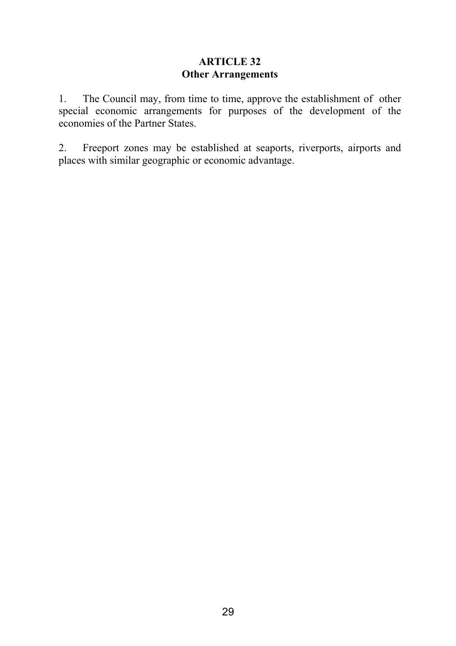## **ARTICLE 32 Other Arrangements**

1. The Council may, from time to time, approve the establishment of other special economic arrangements for purposes of the development of the economies of the Partner States.

2. Freeport zones may be established at seaports, riverports, airports and places with similar geographic or economic advantage.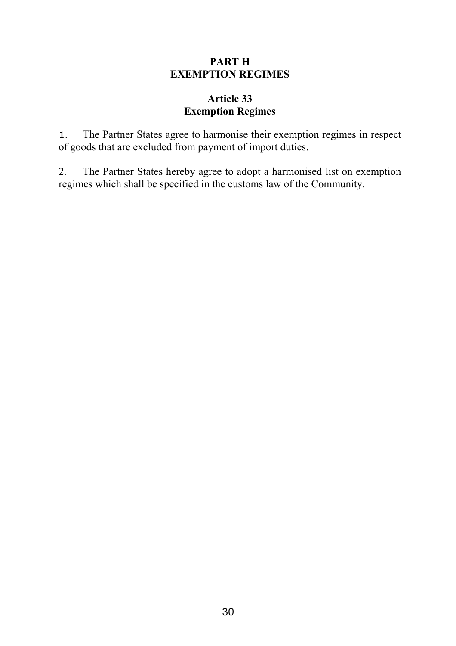## **PART H EXEMPTION REGIMES**

## **Article 33 Exemption Regimes**

1. The Partner States agree to harmonise their exemption regimes in respect of goods that are excluded from payment of import duties.

2. The Partner States hereby agree to adopt a harmonised list on exemption regimes which shall be specified in the customs law of the Community.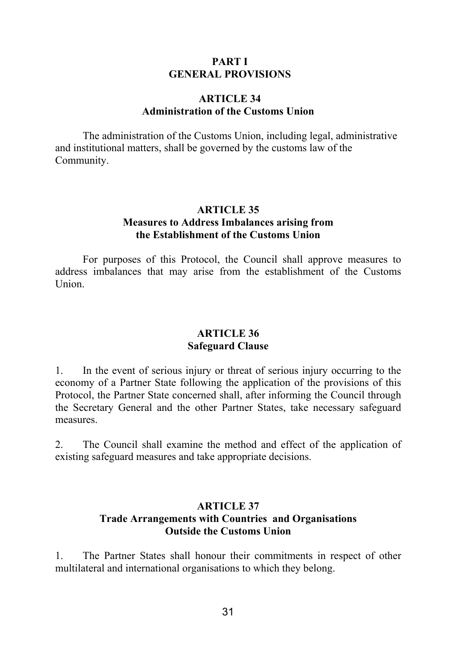#### **PART I GENERAL PROVISIONS**

#### **ARTICLE 34 Administration of the Customs Union**

The administration of the Customs Union, including legal, administrative and institutional matters, shall be governed by the customs law of the Community.

#### **ARTICLE 35 Measures to Address Imbalances arising from the Establishment of the Customs Union**

For purposes of this Protocol, the Council shall approve measures to address imbalances that may arise from the establishment of the Customs Union.

### **ARTICLE 36 Safeguard Clause**

1. In the event of serious injury or threat of serious injury occurring to the economy of a Partner State following the application of the provisions of this Protocol, the Partner State concerned shall, after informing the Council through the Secretary General and the other Partner States, take necessary safeguard measures.

2. The Council shall examine the method and effect of the application of existing safeguard measures and take appropriate decisions.

## **ARTICLE 37 Trade Arrangements with Countries and Organisations Outside the Customs Union**

1. The Partner States shall honour their commitments in respect of other multilateral and international organisations to which they belong.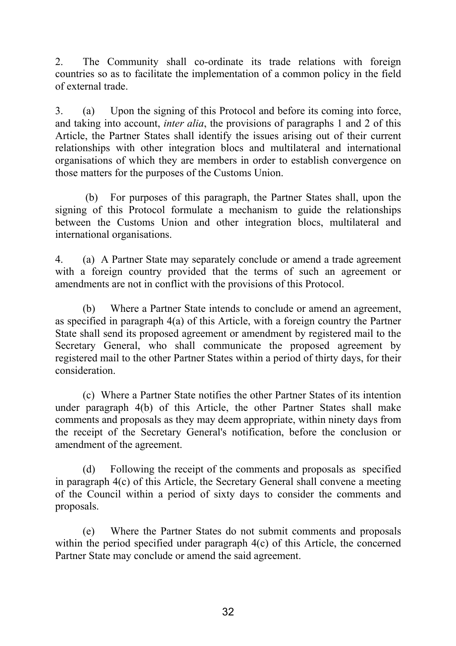2. The Community shall co-ordinate its trade relations with foreign countries so as to facilitate the implementation of a common policy in the field of external trade.

3. (a) Upon the signing of this Protocol and before its coming into force, and taking into account, *inter alia*, the provisions of paragraphs 1 and 2 of this Article, the Partner States shall identify the issues arising out of their current relationships with other integration blocs and multilateral and international organisations of which they are members in order to establish convergence on those matters for the purposes of the Customs Union.

(b) For purposes of this paragraph, the Partner States shall, upon the signing of this Protocol formulate a mechanism to guide the relationships between the Customs Union and other integration blocs, multilateral and international organisations.

4. (a) A Partner State may separately conclude or amend a trade agreement with a foreign country provided that the terms of such an agreement or amendments are not in conflict with the provisions of this Protocol.

(b) Where a Partner State intends to conclude or amend an agreement, as specified in paragraph 4(a) of this Article, with a foreign country the Partner State shall send its proposed agreement or amendment by registered mail to the Secretary General, who shall communicate the proposed agreement by registered mail to the other Partner States within a period of thirty days, for their consideration.

(c) Where a Partner State notifies the other Partner States of its intention under paragraph 4(b) of this Article, the other Partner States shall make comments and proposals as they may deem appropriate, within ninety days from the receipt of the Secretary General's notification, before the conclusion or amendment of the agreement.

(d) Following the receipt of the comments and proposals as specified in paragraph 4(c) of this Article, the Secretary General shall convene a meeting of the Council within a period of sixty days to consider the comments and proposals.

(e) Where the Partner States do not submit comments and proposals within the period specified under paragraph  $4(c)$  of this Article, the concerned Partner State may conclude or amend the said agreement.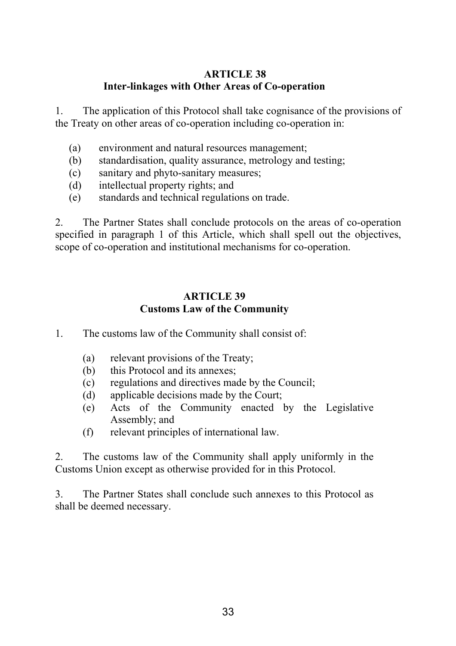## **ARTICLE 38 Inter-linkages with Other Areas of Co-operation**

1. The application of this Protocol shall take cognisance of the provisions of the Treaty on other areas of co-operation including co-operation in:

- (a) environment and natural resources management;
- (b) standardisation, quality assurance, metrology and testing;
- (c) sanitary and phyto-sanitary measures;
- (d) intellectual property rights; and
- (e) standards and technical regulations on trade.

2. The Partner States shall conclude protocols on the areas of co-operation specified in paragraph 1 of this Article, which shall spell out the objectives, scope of co-operation and institutional mechanisms for co-operation.

## **ARTICLE 39 Customs Law of the Community**

- 1. The customs law of the Community shall consist of:
	- (a) relevant provisions of the Treaty;
	- (b) this Protocol and its annexes;
	- (c) regulations and directives made by the Council;
	- (d) applicable decisions made by the Court;
	- (e) Acts of the Community enacted by the Legislative Assembly; and
	- (f) relevant principles of international law.

2. The customs law of the Community shall apply uniformly in the Customs Union except as otherwise provided for in this Protocol.

3. The Partner States shall conclude such annexes to this Protocol as shall be deemed necessary.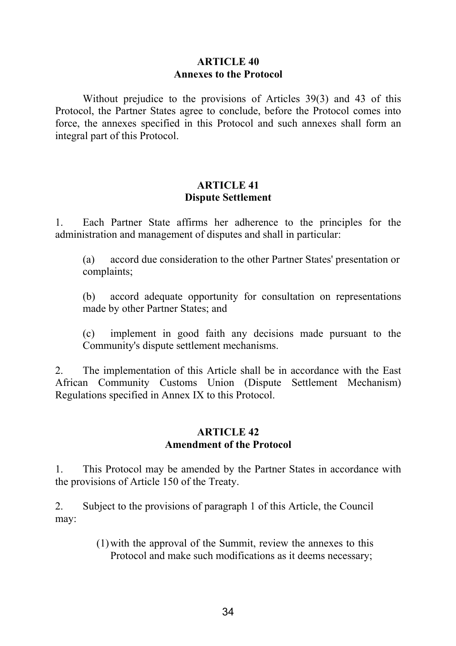### **ARTICLE 40 Annexes to the Protocol**

Without prejudice to the provisions of Articles 39(3) and 43 of this Protocol, the Partner States agree to conclude, before the Protocol comes into force, the annexes specified in this Protocol and such annexes shall form an integral part of this Protocol.

## **ARTICLE 41 Dispute Settlement**

1. Each Partner State affirms her adherence to the principles for the administration and management of disputes and shall in particular:

(a) accord due consideration to the other Partner States' presentation or complaints;

(b) accord adequate opportunity for consultation on representations made by other Partner States; and

(c) implement in good faith any decisions made pursuant to the Community's dispute settlement mechanisms.

2. The implementation of this Article shall be in accordance with the East African Community Customs Union (Dispute Settlement Mechanism) Regulations specified in Annex IX to this Protocol.

#### **ARTICLE 42 Amendment of the Protocol**

1. This Protocol may be amended by the Partner States in accordance with the provisions of Article 150 of the Treaty.

2. Subject to the provisions of paragraph 1 of this Article, the Council may:

> (1) with the approval of the Summit, review the annexes to this Protocol and make such modifications as it deems necessary;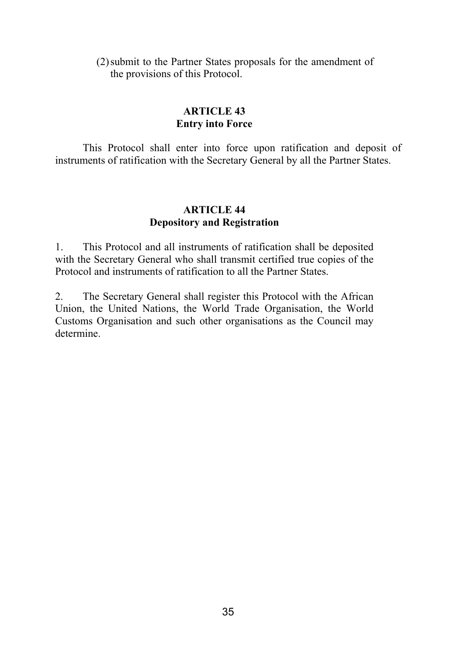### (2) submit to the Partner States proposals for the amendment of the provisions of this Protocol.

# **ARTICLE 43 Entry into Force**

This Protocol shall enter into force upon ratification and deposit of instruments of ratification with the Secretary General by all the Partner States.

### **ARTICLE 44 Depository and Registration**

1. This Protocol and all instruments of ratification shall be deposited with the Secretary General who shall transmit certified true copies of the Protocol and instruments of ratification to all the Partner States.

2. The Secretary General shall register this Protocol with the African Union, the United Nations, the World Trade Organisation, the World Customs Organisation and such other organisations as the Council may determine.